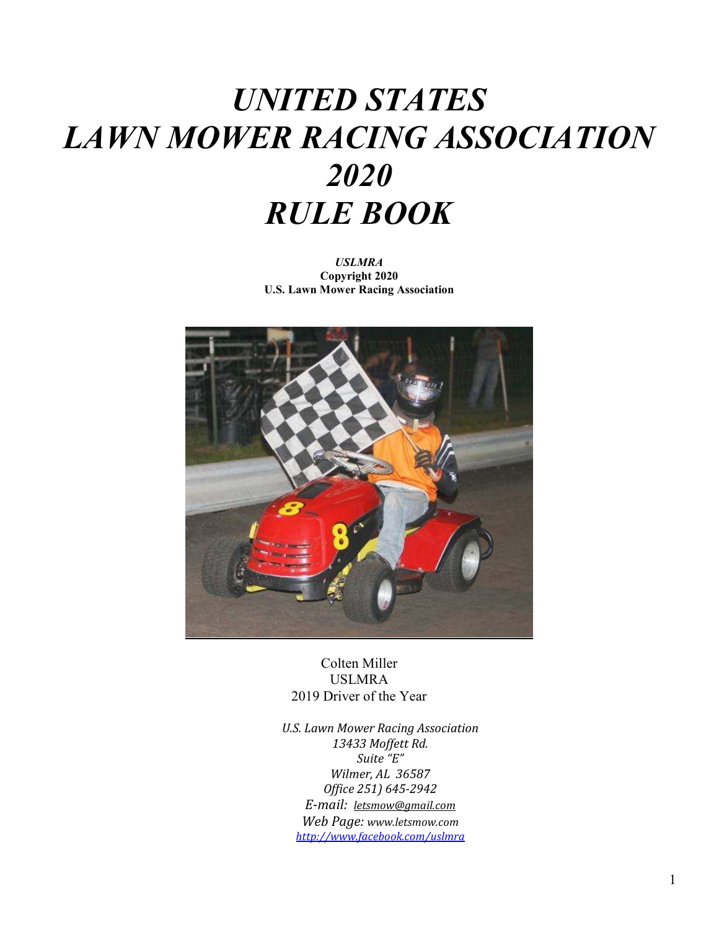# *UNITED STATES LAWN MOWER RACING ASSOCIATION 2020 RULE BOOK*

*USLMRA*  **Copyright 2020 U.S. Lawn Mower Racing Association** 



Colten Miller USLMRA 2019 Driver of the Year

*U.S. Lawn Mower Racing Association 13433 Moffett Rd. Suite "E" Wilmer, AL 36587 Office 251) 645-2942 E-mail: letsmow@gmail.com Web Page: www.letsmow.com http://www.facebook.com/uslmra*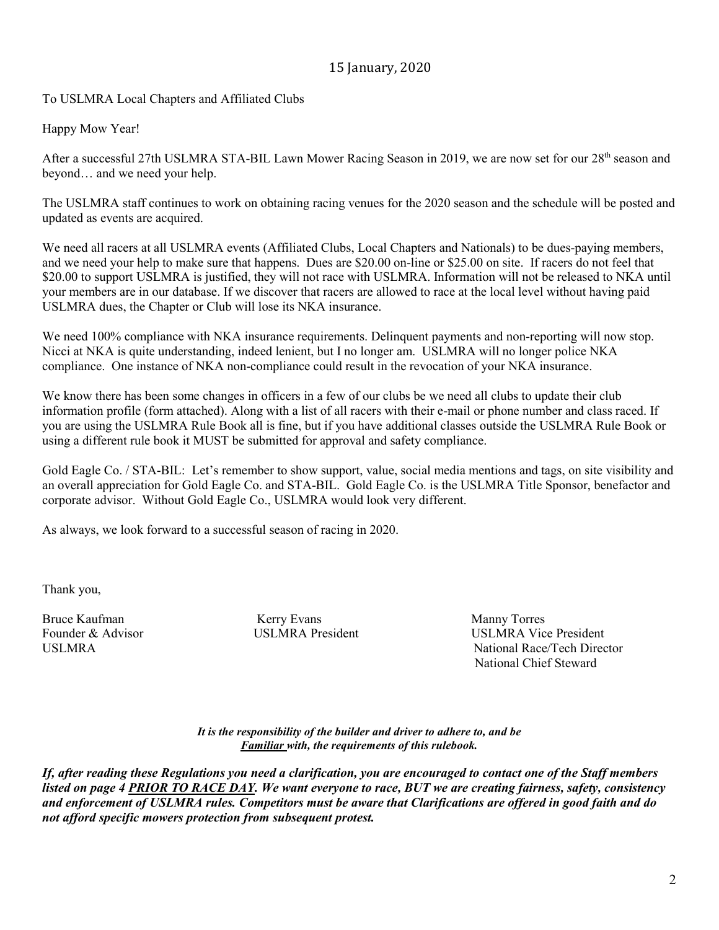### 15 January, 2020

To USLMRA Local Chapters and Affiliated Clubs

Happy Mow Year!

After a successful 27th USLMRA STA-BIL Lawn Mower Racing Season in 2019, we are now set for our 28<sup>th</sup> season and beyond… and we need your help.

The USLMRA staff continues to work on obtaining racing venues for the 2020 season and the schedule will be posted and updated as events are acquired.

We need all racers at all USLMRA events (Affiliated Clubs, Local Chapters and Nationals) to be dues-paying members, and we need your help to make sure that happens. Dues are \$20.00 on-line or \$25.00 on site. If racers do not feel that \$20.00 to support USLMRA is justified, they will not race with USLMRA. Information will not be released to NKA until your members are in our database. If we discover that racers are allowed to race at the local level without having paid USLMRA dues, the Chapter or Club will lose its NKA insurance.

We need 100% compliance with NKA insurance requirements. Delinquent payments and non-reporting will now stop. Nicci at NKA is quite understanding, indeed lenient, but I no longer am. USLMRA will no longer police NKA compliance. One instance of NKA non-compliance could result in the revocation of your NKA insurance.

We know there has been some changes in officers in a few of our clubs be we need all clubs to update their club information profile (form attached). Along with a list of all racers with their e-mail or phone number and class raced. If you are using the USLMRA Rule Book all is fine, but if you have additional classes outside the USLMRA Rule Book or using a different rule book it MUST be submitted for approval and safety compliance.

Gold Eagle Co. / STA-BIL: Let's remember to show support, value, social media mentions and tags, on site visibility and an overall appreciation for Gold Eagle Co. and STA-BIL. Gold Eagle Co. is the USLMRA Title Sponsor, benefactor and corporate advisor. Without Gold Eagle Co., USLMRA would look very different.

As always, we look forward to a successful season of racing in 2020.

Thank you,

Bruce Kaufman Manny Torres (Kerry Evans Manny Torres Manny Torres

Founder & Advisor **USLMRA** President USLMRA Vice President USLMRA National Race/Tech Director National Chief Steward

> *It is the responsibility of the builder and driver to adhere to, and be Familiar with, the requirements of this rulebook.*

*If, after reading these Regulations you need a clarification, you are encouraged to contact one of the Staff members listed on page 4 PRIOR TO RACE DAY. We want everyone to race, BUT we are creating fairness, safety, consistency and enforcement of USLMRA rules. Competitors must be aware that Clarifications are offered in good faith and do not afford specific mowers protection from subsequent protest.*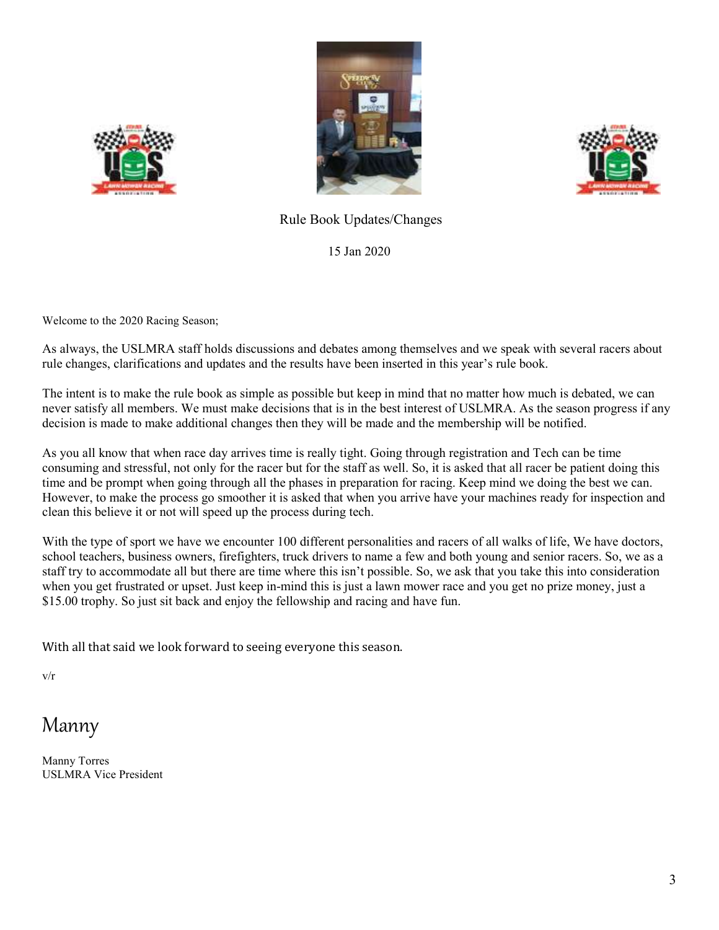





### Rule Book Updates/Changes

15 Jan 2020

Welcome to the 2020 Racing Season;

As always, the USLMRA staff holds discussions and debates among themselves and we speak with several racers about rule changes, clarifications and updates and the results have been inserted in this year's rule book.

The intent is to make the rule book as simple as possible but keep in mind that no matter how much is debated, we can never satisfy all members. We must make decisions that is in the best interest of USLMRA. As the season progress if any decision is made to make additional changes then they will be made and the membership will be notified.

As you all know that when race day arrives time is really tight. Going through registration and Tech can be time consuming and stressful, not only for the racer but for the staff as well. So, it is asked that all racer be patient doing this time and be prompt when going through all the phases in preparation for racing. Keep mind we doing the best we can. However, to make the process go smoother it is asked that when you arrive have your machines ready for inspection and clean this believe it or not will speed up the process during tech.

With the type of sport we have we encounter 100 different personalities and racers of all walks of life, We have doctors, school teachers, business owners, firefighters, truck drivers to name a few and both young and senior racers. So, we as a staff try to accommodate all but there are time where this isn't possible. So, we ask that you take this into consideration when you get frustrated or upset. Just keep in-mind this is just a lawn mower race and you get no prize money, just a \$15.00 trophy. So just sit back and enjoy the fellowship and racing and have fun.

With all that said we look forward to seeing everyone this season.

v/r

# Manny

Manny Torres USLMRA Vice President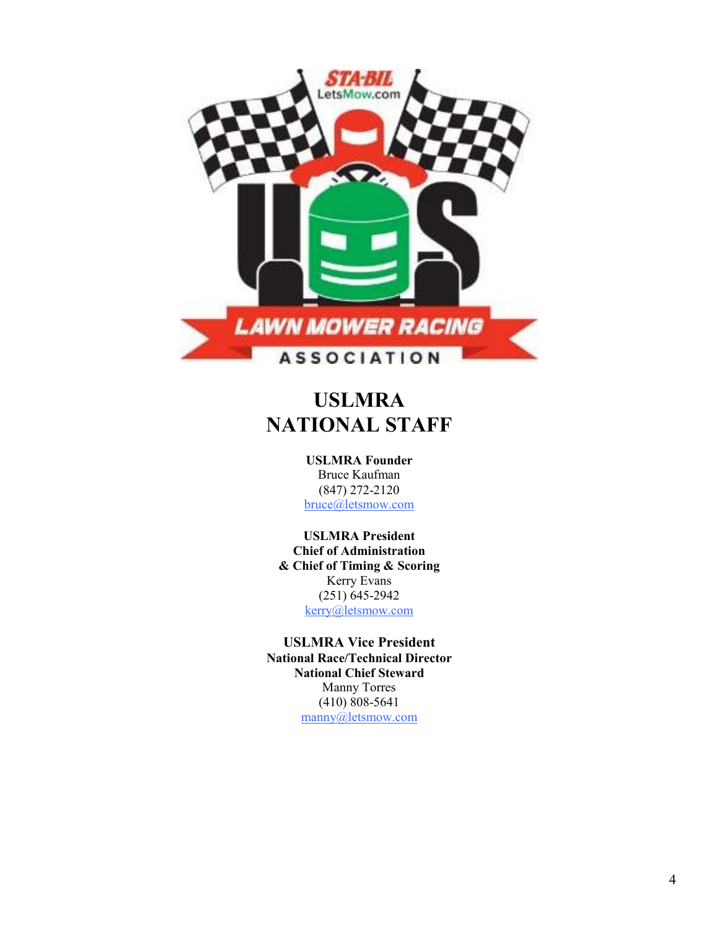

# **USLMRA NATIONAL STAFF**

**USLMRA Founder** Bruce Kaufman (847) 272-2120

bruce@letsmow.com

**USLMRA President Chief of Administration & Chief of Timing & Scoring** Kerry Evans (251) 645-2942 kerry@letsmow.com

**USLMRA Vice President National Race/Technical Director National Chief Steward** Manny Torres (410) 808-5641 manny@letsmow.com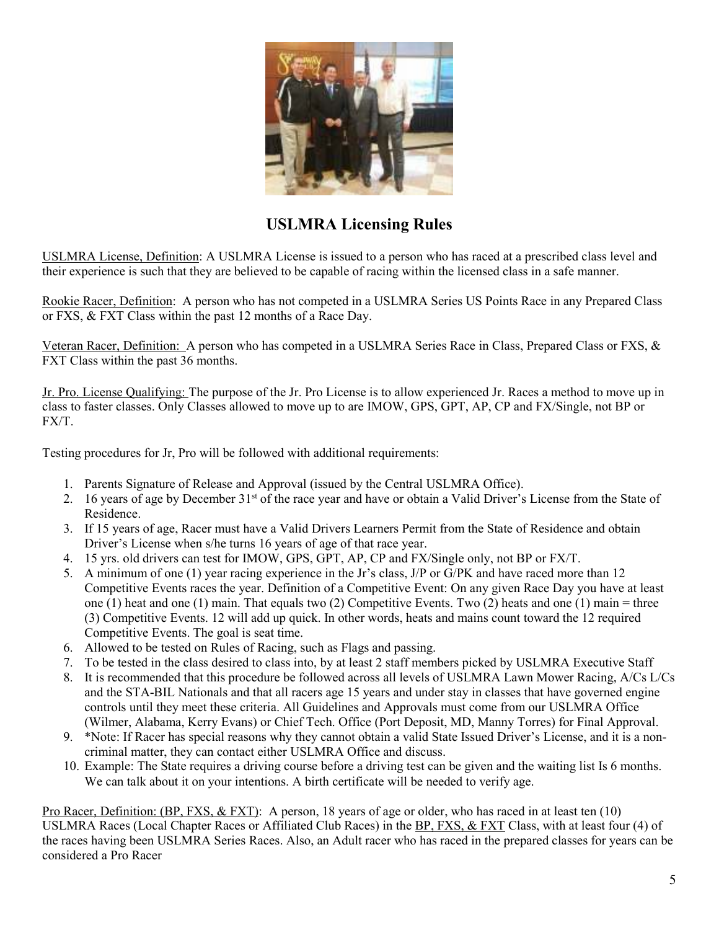

# **USLMRA Licensing Rules**

USLMRA License, Definition: A USLMRA License is issued to a person who has raced at a prescribed class level and their experience is such that they are believed to be capable of racing within the licensed class in a safe manner.

Rookie Racer, Definition: A person who has not competed in a USLMRA Series US Points Race in any Prepared Class or FXS, & FXT Class within the past 12 months of a Race Day.

Veteran Racer, Definition: A person who has competed in a USLMRA Series Race in Class, Prepared Class or FXS, & FXT Class within the past 36 months.

Jr. Pro. License Qualifying: The purpose of the Jr. Pro License is to allow experienced Jr. Races a method to move up in class to faster classes. Only Classes allowed to move up to are IMOW, GPS, GPT, AP, CP and FX/Single, not BP or FX/T.

Testing procedures for Jr, Pro will be followed with additional requirements:

- 1. Parents Signature of Release and Approval (issued by the Central USLMRA Office).
- 2. 16 years of age by December 31<sup>st</sup> of the race year and have or obtain a Valid Driver's License from the State of Residence.
- 3. If 15 years of age, Racer must have a Valid Drivers Learners Permit from the State of Residence and obtain Driver's License when s/he turns 16 years of age of that race year.
- 4. 15 yrs. old drivers can test for IMOW, GPS, GPT, AP, CP and FX/Single only, not BP or FX/T.
- 5. A minimum of one (1) year racing experience in the Jr's class, J/P or G/PK and have raced more than 12 Competitive Events races the year. Definition of a Competitive Event: On any given Race Day you have at least one (1) heat and one (1) main. That equals two (2) Competitive Events. Two (2) heats and one (1) main = three (3) Competitive Events. 12 will add up quick. In other words, heats and mains count toward the 12 required Competitive Events. The goal is seat time.
- 6. Allowed to be tested on Rules of Racing, such as Flags and passing.
- 7. To be tested in the class desired to class into, by at least 2 staff members picked by USLMRA Executive Staff
- 8. It is recommended that this procedure be followed across all levels of USLMRA Lawn Mower Racing, A/Cs L/Cs and the STA-BIL Nationals and that all racers age 15 years and under stay in classes that have governed engine controls until they meet these criteria. All Guidelines and Approvals must come from our USLMRA Office (Wilmer, Alabama, Kerry Evans) or Chief Tech. Office (Port Deposit, MD, Manny Torres) for Final Approval.
- 9. \*Note: If Racer has special reasons why they cannot obtain a valid State Issued Driver's License, and it is a noncriminal matter, they can contact either USLMRA Office and discuss.
- 10. Example: The State requires a driving course before a driving test can be given and the waiting list Is 6 months. We can talk about it on your intentions. A birth certificate will be needed to verify age.

Pro Racer, Definition: (BP, FXS, & FXT): A person, 18 years of age or older, who has raced in at least ten (10) USLMRA Races (Local Chapter Races or Affiliated Club Races) in the BP, FXS, & FXT Class, with at least four (4) of the races having been USLMRA Series Races. Also, an Adult racer who has raced in the prepared classes for years can be considered a Pro Racer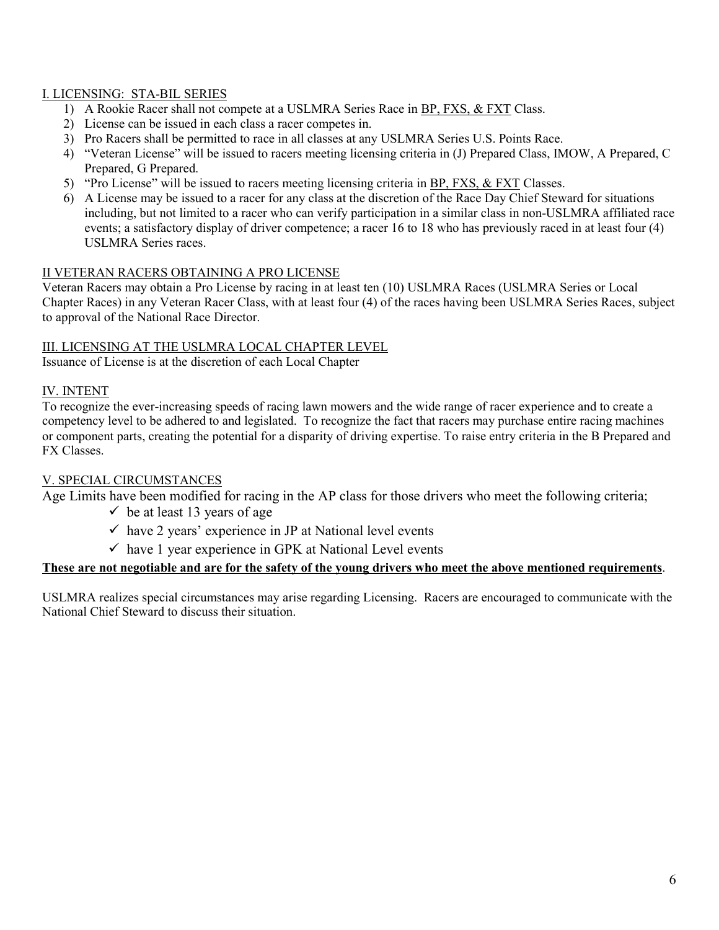### I. LICENSING: STA-BIL SERIES

- 1) A Rookie Racer shall not compete at a USLMRA Series Race in **BP**, FXS, & FXT Class.
- 2) License can be issued in each class a racer competes in.
- 3) Pro Racers shall be permitted to race in all classes at any USLMRA Series U.S. Points Race.
- 4) "Veteran License" will be issued to racers meeting licensing criteria in (J) Prepared Class, IMOW, A Prepared, C Prepared, G Prepared.
- 5) "Pro License" will be issued to racers meeting licensing criteria in **BP**, FXS, & FXT Classes.
- 6) A License may be issued to a racer for any class at the discretion of the Race Day Chief Steward for situations including, but not limited to a racer who can verify participation in a similar class in non-USLMRA affiliated race events; a satisfactory display of driver competence; a racer 16 to 18 who has previously raced in at least four (4) USLMRA Series races.

#### II VETERAN RACERS OBTAINING A PRO LICENSE

Veteran Racers may obtain a Pro License by racing in at least ten (10) USLMRA Races (USLMRA Series or Local Chapter Races) in any Veteran Racer Class, with at least four (4) of the races having been USLMRA Series Races, subject to approval of the National Race Director.

#### III. LICENSING AT THE USLMRA LOCAL CHAPTER LEVEL

Issuance of License is at the discretion of each Local Chapter

#### IV. INTENT

To recognize the ever-increasing speeds of racing lawn mowers and the wide range of racer experience and to create a competency level to be adhered to and legislated. To recognize the fact that racers may purchase entire racing machines or component parts, creating the potential for a disparity of driving expertise. To raise entry criteria in the B Prepared and FX Classes.

#### V. SPECIAL CIRCUMSTANCES

Age Limits have been modified for racing in the AP class for those drivers who meet the following criteria;

- $\checkmark$  be at least 13 years of age
- $\checkmark$  have 2 years' experience in JP at National level events
- $\checkmark$  have 1 year experience in GPK at National Level events

#### **These are not negotiable and are for the safety of the young drivers who meet the above mentioned requirements**.

USLMRA realizes special circumstances may arise regarding Licensing. Racers are encouraged to communicate with the National Chief Steward to discuss their situation.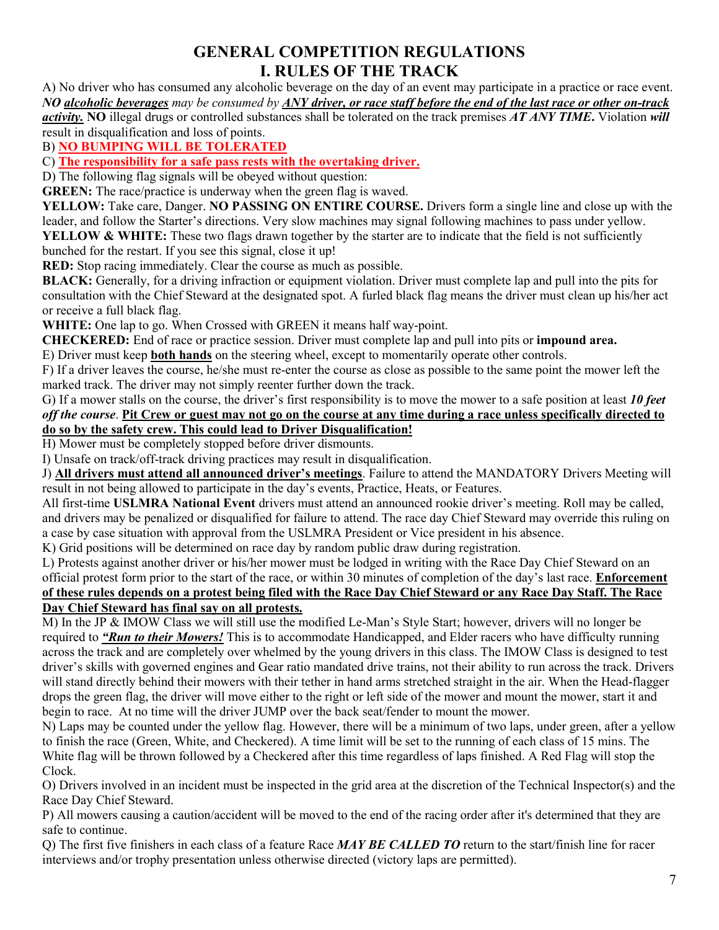# **GENERAL COMPETITION REGULATIONS I. RULES OF THE TRACK**

A) No driver who has consumed any alcoholic beverage on the day of an event may participate in a practice or race event. *NO alcoholic beverages may be consumed by ANY driver, or race staff before the end of the last race or other on-track activity.* **NO** illegal drugs or controlled substances shall be tolerated on the track premises *AT ANY TIME***.** Violation *will*  result in disqualification and loss of points.

B) **NO BUMPING WILL BE TOLERATED**

C) **The responsibility for a safe pass rests with the overtaking driver.**

D) The following flag signals will be obeyed without question:

**GREEN:** The race/practice is underway when the green flag is waved.

**YELLOW:** Take care, Danger. **NO PASSING ON ENTIRE COURSE.** Drivers form a single line and close up with the leader, and follow the Starter's directions. Very slow machines may signal following machines to pass under yellow. **YELLOW & WHITE:** These two flags drawn together by the starter are to indicate that the field is not sufficiently

bunched for the restart. If you see this signal, close it up!

**RED:** Stop racing immediately. Clear the course as much as possible.

**BLACK:** Generally, for a driving infraction or equipment violation. Driver must complete lap and pull into the pits for consultation with the Chief Steward at the designated spot. A furled black flag means the driver must clean up his/her act or receive a full black flag.

**WHITE:** One lap to go. When Crossed with GREEN it means half way-point.

**CHECKERED:** End of race or practice session. Driver must complete lap and pull into pits or **impound area.** 

E) Driver must keep **both hands** on the steering wheel, except to momentarily operate other controls.

F) If a driver leaves the course, he/she must re-enter the course as close as possible to the same point the mower left the marked track. The driver may not simply reenter further down the track.

G) If a mower stalls on the course, the driver's first responsibility is to move the mower to a safe position at least *10 feet off the course*. **Pit Crew or guest may not go on the course at any time during a race unless specifically directed to do so by the safety crew. This could lead to Driver Disqualification!** 

H) Mower must be completely stopped before driver dismounts.

I) Unsafe on track/off-track driving practices may result in disqualification.

J) **All drivers must attend all announced driver's meetings**. Failure to attend the MANDATORY Drivers Meeting will result in not being allowed to participate in the day's events, Practice, Heats, or Features.

All first-time **USLMRA National Event** drivers must attend an announced rookie driver's meeting. Roll may be called, and drivers may be penalized or disqualified for failure to attend. The race day Chief Steward may override this ruling on a case by case situation with approval from the USLMRA President or Vice president in his absence.

K) Grid positions will be determined on race day by random public draw during registration.

L) Protests against another driver or his/her mower must be lodged in writing with the Race Day Chief Steward on an official protest form prior to the start of the race, or within 30 minutes of completion of the day's last race. **Enforcement of these rules depends on a protest being filed with the Race Day Chief Steward or any Race Day Staff. The Race Day Chief Steward has final say on all protests.**

M) In the JP & IMOW Class we will still use the modified Le-Man's Style Start; however, drivers will no longer be required to *"Run to their Mowers!* This is to accommodate Handicapped, and Elder racers who have difficulty running across the track and are completely over whelmed by the young drivers in this class. The IMOW Class is designed to test driver's skills with governed engines and Gear ratio mandated drive trains, not their ability to run across the track. Drivers will stand directly behind their mowers with their tether in hand arms stretched straight in the air. When the Head-flagger drops the green flag, the driver will move either to the right or left side of the mower and mount the mower, start it and begin to race. At no time will the driver JUMP over the back seat/fender to mount the mower.

N) Laps may be counted under the yellow flag. However, there will be a minimum of two laps, under green, after a yellow to finish the race (Green, White, and Checkered). A time limit will be set to the running of each class of 15 mins. The White flag will be thrown followed by a Checkered after this time regardless of laps finished. A Red Flag will stop the Clock.

O) Drivers involved in an incident must be inspected in the grid area at the discretion of the Technical Inspector(s) and the Race Day Chief Steward.

P) All mowers causing a caution/accident will be moved to the end of the racing order after it's determined that they are safe to continue.

Q) The first five finishers in each class of a feature Race *MAY BE CALLED TO* return to the start/finish line for racer interviews and/or trophy presentation unless otherwise directed (victory laps are permitted).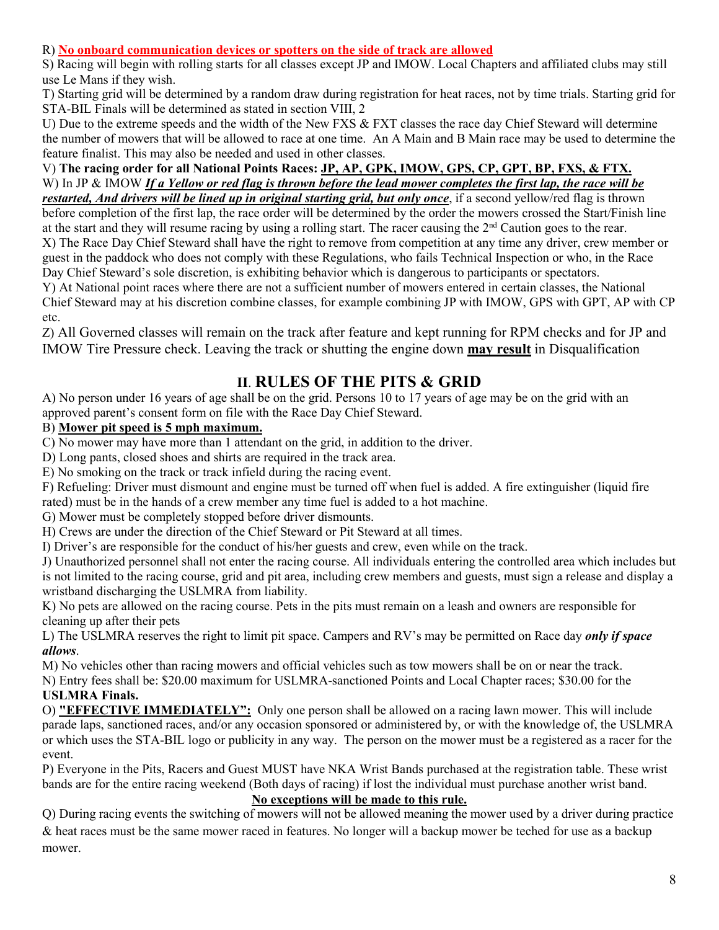R) **No onboard communication devices or spotters on the side of track are allowed**

S) Racing will begin with rolling starts for all classes except JP and IMOW. Local Chapters and affiliated clubs may still use Le Mans if they wish.

T) Starting grid will be determined by a random draw during registration for heat races, not by time trials. Starting grid for STA-BIL Finals will be determined as stated in section VIII, 2

U) Due to the extreme speeds and the width of the New FXS & FXT classes the race day Chief Steward will determine the number of mowers that will be allowed to race at one time. An A Main and B Main race may be used to determine the feature finalist. This may also be needed and used in other classes.

V) **The racing order for all National Points Races: JP, AP, GPK, IMOW, GPS, CP, GPT, BP, FXS, & FTX.**  W) In JP & IMOW If a Yellow or red flag is thrown before the lead mower completes the first lap, the race will be *restarted, And drivers will be lined up in original starting grid, but only once*, if a second yellow/red flag is thrown

before completion of the first lap, the race order will be determined by the order the mowers crossed the Start/Finish line at the start and they will resume racing by using a rolling start. The racer causing the 2<sup>nd</sup> Caution goes to the rear. X) The Race Day Chief Steward shall have the right to remove from competition at any time any driver, crew member or guest in the paddock who does not comply with these Regulations, who fails Technical Inspection or who, in the Race Day Chief Steward's sole discretion, is exhibiting behavior which is dangerous to participants or spectators.

Y) At National point races where there are not a sufficient number of mowers entered in certain classes, the National Chief Steward may at his discretion combine classes, for example combining JP with IMOW, GPS with GPT, AP with CP etc.

Z) All Governed classes will remain on the track after feature and kept running for RPM checks and for JP and IMOW Tire Pressure check. Leaving the track or shutting the engine down **may result** in Disqualification

# **II**. **RULES OF THE PITS & GRID**

A) No person under 16 years of age shall be on the grid. Persons 10 to 17 years of age may be on the grid with an approved parent's consent form on file with the Race Day Chief Steward.

# B) **Mower pit speed is 5 mph maximum.**

C) No mower may have more than 1 attendant on the grid, in addition to the driver.

D) Long pants, closed shoes and shirts are required in the track area.

E) No smoking on the track or track infield during the racing event.

F) Refueling: Driver must dismount and engine must be turned off when fuel is added. A fire extinguisher (liquid fire rated) must be in the hands of a crew member any time fuel is added to a hot machine.

G) Mower must be completely stopped before driver dismounts.

H) Crews are under the direction of the Chief Steward or Pit Steward at all times.

I) Driver's are responsible for the conduct of his/her guests and crew, even while on the track.

J) Unauthorized personnel shall not enter the racing course. All individuals entering the controlled area which includes but is not limited to the racing course, grid and pit area, including crew members and guests, must sign a release and display a wristband discharging the USLMRA from liability.

K) No pets are allowed on the racing course. Pets in the pits must remain on a leash and owners are responsible for cleaning up after their pets

L) The USLMRA reserves the right to limit pit space. Campers and RV's may be permitted on Race day *only if space allows*.

M) No vehicles other than racing mowers and official vehicles such as tow mowers shall be on or near the track.

N) Entry fees shall be: \$20.00 maximum for USLMRA-sanctioned Points and Local Chapter races; \$30.00 for the **USLMRA Finals.**

O) **"EFFECTIVE IMMEDIATELY":** Only one person shall be allowed on a racing lawn mower. This will include parade laps, sanctioned races, and/or any occasion sponsored or administered by, or with the knowledge of, the USLMRA or which uses the STA-BIL logo or publicity in any way. The person on the mower must be a registered as a racer for the event.

P) Everyone in the Pits, Racers and Guest MUST have NKA Wrist Bands purchased at the registration table. These wrist bands are for the entire racing weekend (Both days of racing) if lost the individual must purchase another wrist band.

### **No exceptions will be made to this rule.**

Q) During racing events the switching of mowers will not be allowed meaning the mower used by a driver during practice & heat races must be the same mower raced in features. No longer will a backup mower be teched for use as a backup mower.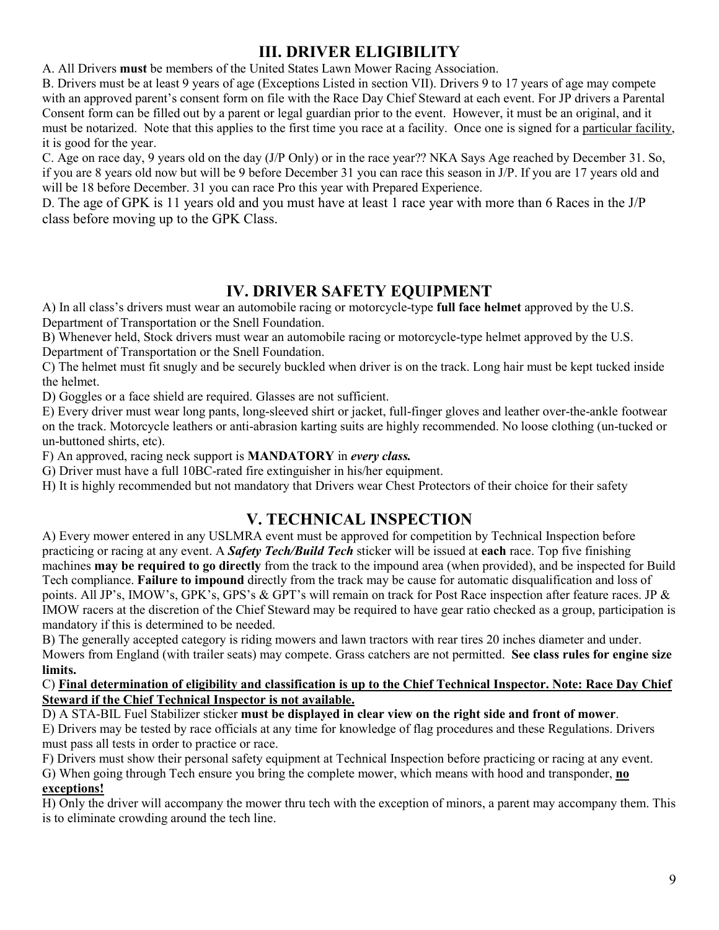# **III. DRIVER ELIGIBILITY**

A. All Drivers **must** be members of the United States Lawn Mower Racing Association.

B. Drivers must be at least 9 years of age (Exceptions Listed in section VII). Drivers 9 to 17 years of age may compete with an approved parent's consent form on file with the Race Day Chief Steward at each event. For JP drivers a Parental Consent form can be filled out by a parent or legal guardian prior to the event. However, it must be an original, and it must be notarized. Note that this applies to the first time you race at a facility. Once one is signed for a particular facility, it is good for the year.

C. Age on race day, 9 years old on the day (J/P Only) or in the race year?? NKA Says Age reached by December 31. So, if you are 8 years old now but will be 9 before December 31 you can race this season in J/P. If you are 17 years old and will be 18 before December. 31 you can race Pro this year with Prepared Experience.

D. The age of GPK is 11 years old and you must have at least 1 race year with more than 6 Races in the J/P class before moving up to the GPK Class.

# **IV. DRIVER SAFETY EQUIPMENT**

A) In all class's drivers must wear an automobile racing or motorcycle-type **full face helmet** approved by the U.S. Department of Transportation or the Snell Foundation.

B) Whenever held, Stock drivers must wear an automobile racing or motorcycle-type helmet approved by the U.S. Department of Transportation or the Snell Foundation.

C) The helmet must fit snugly and be securely buckled when driver is on the track. Long hair must be kept tucked inside the helmet.

D) Goggles or a face shield are required. Glasses are not sufficient.

E) Every driver must wear long pants, long-sleeved shirt or jacket, full-finger gloves and leather over-the-ankle footwear on the track. Motorcycle leathers or anti-abrasion karting suits are highly recommended. No loose clothing (un-tucked or un-buttoned shirts, etc).

F) An approved, racing neck support is **MANDATORY** in *every class.* 

G) Driver must have a full 10BC-rated fire extinguisher in his/her equipment.

H) It is highly recommended but not mandatory that Drivers wear Chest Protectors of their choice for their safety

# **V. TECHNICAL INSPECTION**

A) Every mower entered in any USLMRA event must be approved for competition by Technical Inspection before practicing or racing at any event. A *Safety Tech/Build Tech* sticker will be issued at **each** race. Top five finishing machines **may be required to go directly** from the track to the impound area (when provided), and be inspected for Build Tech compliance. **Failure to impound** directly from the track may be cause for automatic disqualification and loss of points. All JP's, IMOW's, GPK's, GPS's & GPT's will remain on track for Post Race inspection after feature races. JP & IMOW racers at the discretion of the Chief Steward may be required to have gear ratio checked as a group, participation is mandatory if this is determined to be needed.

B) The generally accepted category is riding mowers and lawn tractors with rear tires 20 inches diameter and under. Mowers from England (with trailer seats) may compete. Grass catchers are not permitted. **See class rules for engine size limits.**

#### C) **Final determination of eligibility and classification is up to the Chief Technical Inspector. Note: Race Day Chief Steward if the Chief Technical Inspector is not available.**

D) A STA-BIL Fuel Stabilizer sticker **must be displayed in clear view on the right side and front of mower**.

E) Drivers may be tested by race officials at any time for knowledge of flag procedures and these Regulations. Drivers must pass all tests in order to practice or race.

F) Drivers must show their personal safety equipment at Technical Inspection before practicing or racing at any event. G) When going through Tech ensure you bring the complete mower, which means with hood and transponder, **no exceptions!**

H) Only the driver will accompany the mower thru tech with the exception of minors, a parent may accompany them. This is to eliminate crowding around the tech line.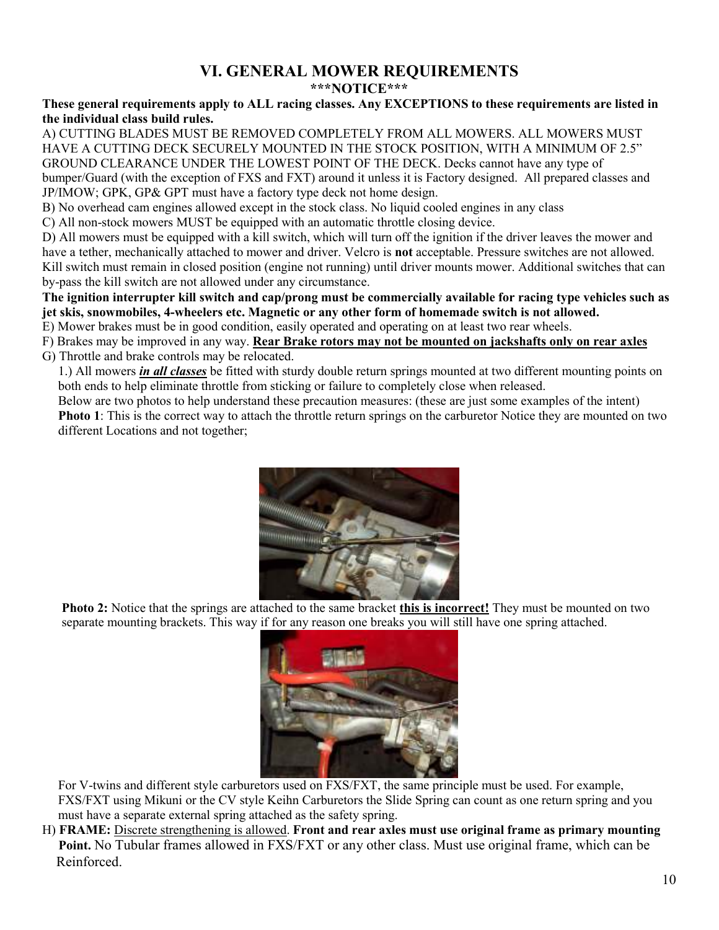## **VI. GENERAL MOWER REQUIREMENTS \*\*\*NOTICE\*\*\***

#### **These general requirements apply to ALL racing classes. Any EXCEPTIONS to these requirements are listed in the individual class build rules.**

A) CUTTING BLADES MUST BE REMOVED COMPLETELY FROM ALL MOWERS. ALL MOWERS MUST HAVE A CUTTING DECK SECURELY MOUNTED IN THE STOCK POSITION, WITH A MINIMUM OF 2.5" GROUND CLEARANCE UNDER THE LOWEST POINT OF THE DECK. Decks cannot have any type of bumper/Guard (with the exception of FXS and FXT) around it unless it is Factory designed. All prepared classes and JP/IMOW; GPK, GP& GPT must have a factory type deck not home design.

B) No overhead cam engines allowed except in the stock class. No liquid cooled engines in any class

C) All non-stock mowers MUST be equipped with an automatic throttle closing device.

D) All mowers must be equipped with a kill switch, which will turn off the ignition if the driver leaves the mower and have a tether, mechanically attached to mower and driver. Velcro is **not** acceptable. Pressure switches are not allowed. Kill switch must remain in closed position (engine not running) until driver mounts mower. Additional switches that can by-pass the kill switch are not allowed under any circumstance.

**The ignition interrupter kill switch and cap/prong must be commercially available for racing type vehicles such as jet skis, snowmobiles, 4-wheelers etc. Magnetic or any other form of homemade switch is not allowed.** 

E) Mower brakes must be in good condition, easily operated and operating on at least two rear wheels.

F) Brakes may be improved in any way. **Rear Brake rotors may not be mounted on jackshafts only on rear axles** G) Throttle and brake controls may be relocated.

1.) All mowers *in all classes* be fitted with sturdy double return springs mounted at two different mounting points on both ends to help eliminate throttle from sticking or failure to completely close when released.

Below are two photos to help understand these precaution measures: (these are just some examples of the intent) **Photo 1**: This is the correct way to attach the throttle return springs on the carburetor Notice they are mounted on two different Locations and not together;



**Photo 2:** Notice that the springs are attached to the same bracket **this is incorrect!** They must be mounted on two separate mounting brackets. This way if for any reason one breaks you will still have one spring attached.



For V-twins and different style carburetors used on FXS/FXT, the same principle must be used. For example, FXS/FXT using Mikuni or the CV style Keihn Carburetors the Slide Spring can count as one return spring and you must have a separate external spring attached as the safety spring.

H) **FRAME:** Discrete strengthening is allowed. **Front and rear axles must use original frame as primary mounting Point.** No Tubular frames allowed in FXS/FXT or any other class. Must use original frame, which can be Reinforced.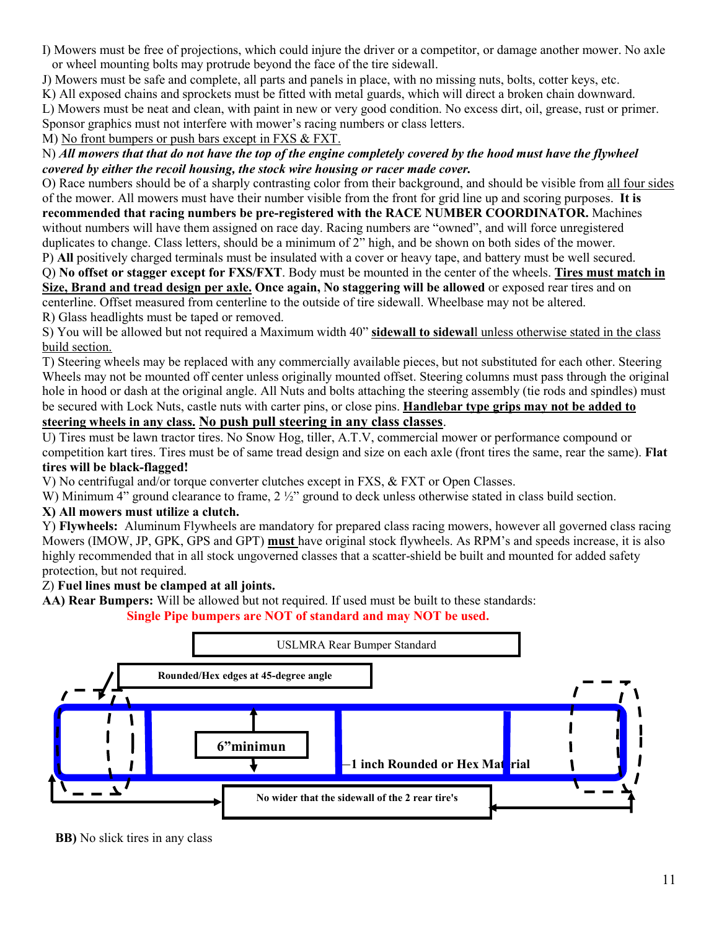I) Mowers must be free of projections, which could injure the driver or a competitor, or damage another mower. No axle or wheel mounting bolts may protrude beyond the face of the tire sidewall.

J) Mowers must be safe and complete, all parts and panels in place, with no missing nuts, bolts, cotter keys, etc.

K) All exposed chains and sprockets must be fitted with metal guards, which will direct a broken chain downward.

L) Mowers must be neat and clean, with paint in new or very good condition. No excess dirt, oil, grease, rust or primer.

Sponsor graphics must not interfere with mower's racing numbers or class letters.

M) No front bumpers or push bars except in FXS & FXT.

#### N) *All mowers that that do not have the top of the engine completely covered by the hood must have the flywheel covered by either the recoil housing, the stock wire housing or racer made cover.*

O) Race numbers should be of a sharply contrasting color from their background, and should be visible from all four sides of the mower. All mowers must have their number visible from the front for grid line up and scoring purposes. **It is recommended that racing numbers be pre-registered with the RACE NUMBER COORDINATOR.** Machines

without numbers will have them assigned on race day. Racing numbers are "owned", and will force unregistered duplicates to change. Class letters, should be a minimum of 2" high, and be shown on both sides of the mower.

P) **All** positively charged terminals must be insulated with a cover or heavy tape, and battery must be well secured.

Q) **No offset or stagger except for FXS/FXT**. Body must be mounted in the center of the wheels. **Tires must match in Size, Brand and tread design per axle. Once again, No staggering will be allowed** or exposed rear tires and on

centerline. Offset measured from centerline to the outside of tire sidewall. Wheelbase may not be altered.

R) Glass headlights must be taped or removed.

S) You will be allowed but not required a Maximum width 40" **sidewall to sidewal**l unless otherwise stated in the class build section.

T) Steering wheels may be replaced with any commercially available pieces, but not substituted for each other. Steering Wheels may not be mounted off center unless originally mounted offset. Steering columns must pass through the original hole in hood or dash at the original angle. All Nuts and bolts attaching the steering assembly (tie rods and spindles) must be secured with Lock Nuts, castle nuts with carter pins, or close pins. **Handlebar type grips may not be added to** 

# **steering wheels in any class. No push pull steering in any class classes**.

U) Tires must be lawn tractor tires. No Snow Hog, tiller, A.T.V, commercial mower or performance compound or competition kart tires. Tires must be of same tread design and size on each axle (front tires the same, rear the same). **Flat tires will be black-flagged!**

V) No centrifugal and/or torque converter clutches except in FXS, & FXT or Open Classes.

W) Minimum 4" ground clearance to frame, 2  $\frac{1}{2}$ " ground to deck unless otherwise stated in class build section.

### **X) All mowers must utilize a clutch.**

Y) **Flywheels:** Aluminum Flywheels are mandatory for prepared class racing mowers, however all governed class racing Mowers (IMOW, JP, GPK, GPS and GPT) **must** have original stock flywheels. As RPM's and speeds increase, it is also highly recommended that in all stock ungoverned classes that a scatter-shield be built and mounted for added safety protection, but not required.

### Z) **Fuel lines must be clamped at all joints.**

**AA) Rear Bumpers:** Will be allowed but not required. If used must be built to these standards:

 **Single Pipe bumpers are NOT of standard and may NOT be used.** 



**BB)** No slick tires in any class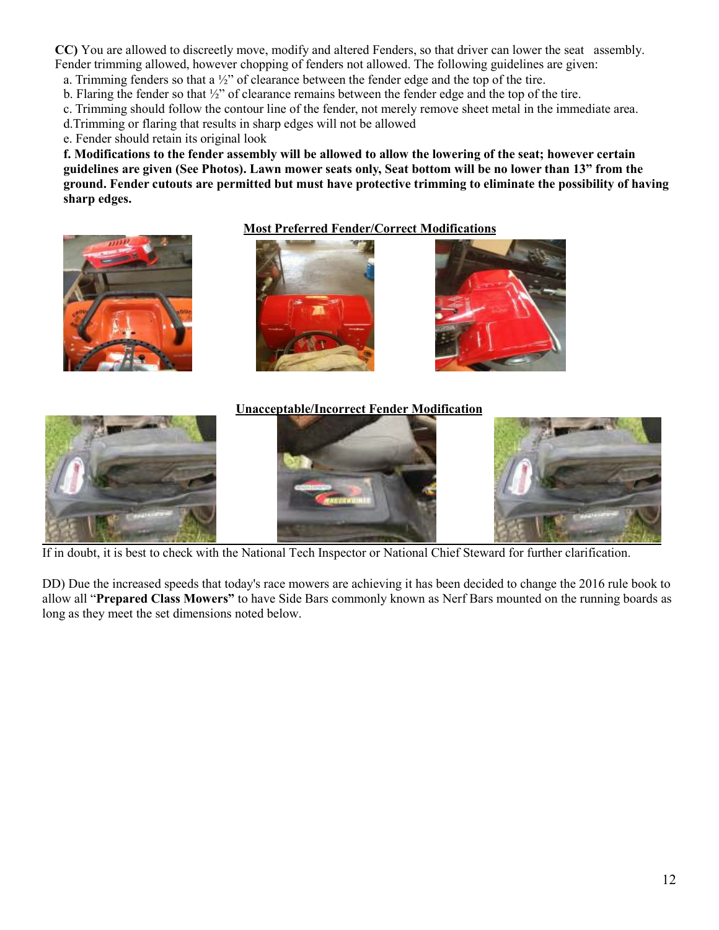**CC)** You are allowed to discreetly move, modify and altered Fenders, so that driver can lower the seat assembly. Fender trimming allowed, however chopping of fenders not allowed. The following guidelines are given:

a. Trimming fenders so that a ½" of clearance between the fender edge and the top of the tire.

b. Flaring the fender so that  $\frac{1}{2}$ " of clearance remains between the fender edge and the top of the tire.

c. Trimming should follow the contour line of the fender, not merely remove sheet metal in the immediate area.

d.Trimming or flaring that results in sharp edges will not be allowed

e. Fender should retain its original look

**f. Modifications to the fender assembly will be allowed to allow the lowering of the seat; however certain guidelines are given (See Photos). Lawn mower seats only, Seat bottom will be no lower than 13" from the ground. Fender cutouts are permitted but must have protective trimming to eliminate the possibility of having sharp edges.** 

#### **Most Preferred Fender/Correct Modifications**





#### **Unacceptable/Incorrect Fender Modification**



If in doubt, it is best to check with the National Tech Inspector or National Chief Steward for further clarification.

DD) Due the increased speeds that today's race mowers are achieving it has been decided to change the 2016 rule book to allow all "**Prepared Class Mowers"** to have Side Bars commonly known as Nerf Bars mounted on the running boards as long as they meet the set dimensions noted below.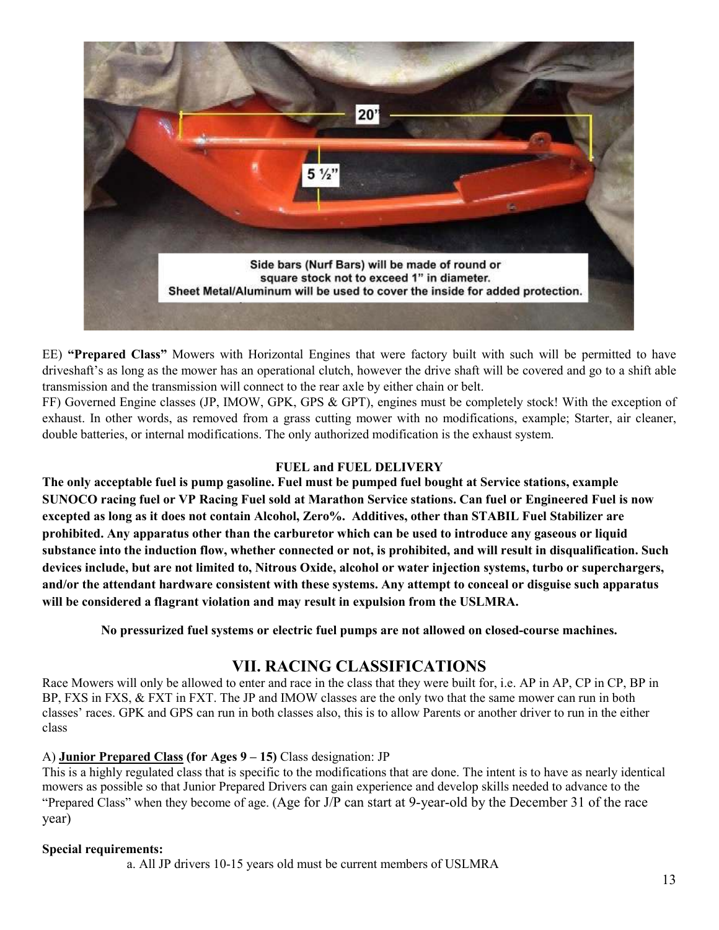

EE) **"Prepared Class"** Mowers with Horizontal Engines that were factory built with such will be permitted to have driveshaft's as long as the mower has an operational clutch, however the drive shaft will be covered and go to a shift able transmission and the transmission will connect to the rear axle by either chain or belt.

FF) Governed Engine classes (JP, IMOW, GPK, GPS & GPT), engines must be completely stock! With the exception of exhaust. In other words, as removed from a grass cutting mower with no modifications, example; Starter, air cleaner, double batteries, or internal modifications. The only authorized modification is the exhaust system.

#### **FUEL and FUEL DELIVERY**

**The only acceptable fuel is pump gasoline. Fuel must be pumped fuel bought at Service stations, example SUNOCO racing fuel or VP Racing Fuel sold at Marathon Service stations. Can fuel or Engineered Fuel is now excepted as long as it does not contain Alcohol, Zero%. Additives, other than STABIL Fuel Stabilizer are prohibited. Any apparatus other than the carburetor which can be used to introduce any gaseous or liquid substance into the induction flow, whether connected or not, is prohibited, and will result in disqualification. Such devices include, but are not limited to, Nitrous Oxide, alcohol or water injection systems, turbo or superchargers, and/or the attendant hardware consistent with these systems. Any attempt to conceal or disguise such apparatus will be considered a flagrant violation and may result in expulsion from the USLMRA.**

**No pressurized fuel systems or electric fuel pumps are not allowed on closed-course machines.** 

# **VII. RACING CLASSIFICATIONS**

Race Mowers will only be allowed to enter and race in the class that they were built for, i.e. AP in AP, CP in CP, BP in BP, FXS in FXS, & FXT in FXT. The JP and IMOW classes are the only two that the same mower can run in both classes' races. GPK and GPS can run in both classes also, this is to allow Parents or another driver to run in the either class

#### A) **Junior Prepared Class (for Ages 9 – 15)** Class designation: JP

This is a highly regulated class that is specific to the modifications that are done. The intent is to have as nearly identical mowers as possible so that Junior Prepared Drivers can gain experience and develop skills needed to advance to the "Prepared Class" when they become of age. (Age for J/P can start at 9-year-old by the December 31 of the race year)

#### **Special requirements:**

a. All JP drivers 10-15 years old must be current members of USLMRA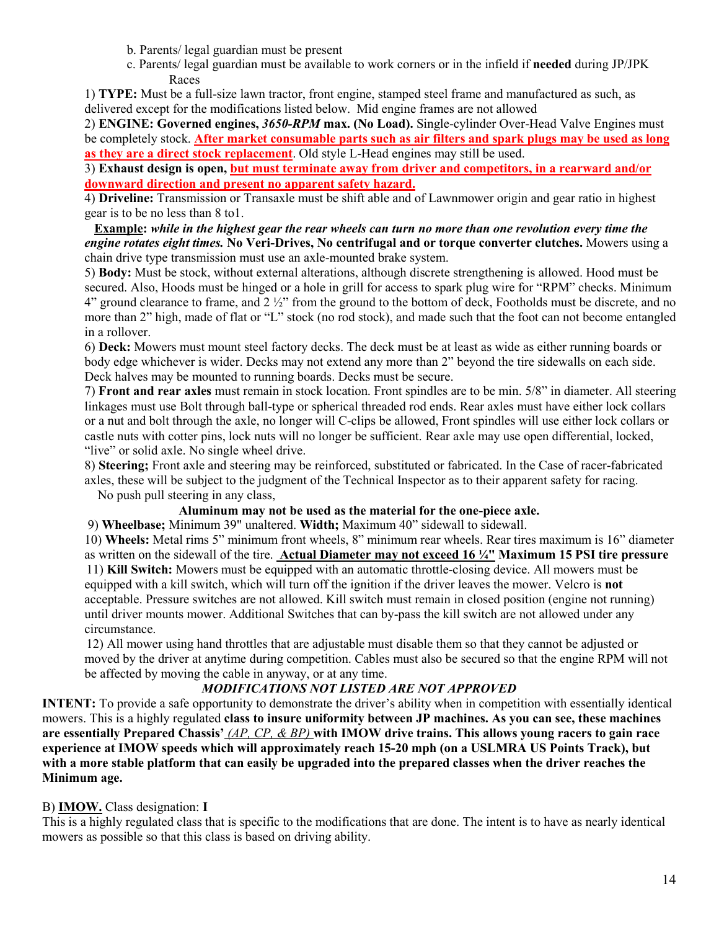- b. Parents/ legal guardian must be present
- c. Parents/ legal guardian must be available to work corners or in the infield if **needed** during JP/JPK Races

1) **TYPE:** Must be a full-size lawn tractor, front engine, stamped steel frame and manufactured as such, as delivered except for the modifications listed below. Mid engine frames are not allowed

2) **ENGINE: Governed engines,** *3650-RPM* **max. (No Load).** Single-cylinder Over-Head Valve Engines must be completely stock. **After market consumable parts such as air filters and spark plugs may be used as long as they are a direct stock replacement**. Old style L-Head engines may still be used.

3) **Exhaust design is open, but must terminate away from driver and competitors, in a rearward and/or downward direction and present no apparent safety hazard.** 

4) **Driveline:** Transmission or Transaxle must be shift able and of Lawnmower origin and gear ratio in highest gear is to be no less than 8 to1.

**Example:** *while in the highest gear the rear wheels can turn no more than one revolution every time the engine rotates eight times.* **No Veri-Drives, No centrifugal and or torque converter clutches.** Mowers using a chain drive type transmission must use an axle-mounted brake system.

5) **Body:** Must be stock, without external alterations, although discrete strengthening is allowed. Hood must be secured. Also, Hoods must be hinged or a hole in grill for access to spark plug wire for "RPM" checks. Minimum 4" ground clearance to frame, and 2 ½" from the ground to the bottom of deck, Footholds must be discrete, and no more than 2" high, made of flat or "L" stock (no rod stock), and made such that the foot can not become entangled in a rollover.

6) **Deck:** Mowers must mount steel factory decks. The deck must be at least as wide as either running boards or body edge whichever is wider. Decks may not extend any more than 2" beyond the tire sidewalls on each side. Deck halves may be mounted to running boards. Decks must be secure.

7) **Front and rear axles** must remain in stock location. Front spindles are to be min. 5/8" in diameter. All steering linkages must use Bolt through ball-type or spherical threaded rod ends. Rear axles must have either lock collars or a nut and bolt through the axle, no longer will C-clips be allowed, Front spindles will use either lock collars or castle nuts with cotter pins, lock nuts will no longer be sufficient. Rear axle may use open differential, locked, "live" or solid axle. No single wheel drive.

8) **Steering;** Front axle and steering may be reinforced, substituted or fabricated. In the Case of racer-fabricated

axles, these will be subject to the judgment of the Technical Inspector as to their apparent safety for racing. No push pull steering in any class,

#### **Aluminum may not be used as the material for the one-piece axle.**

9) **Wheelbase;** Minimum 39" unaltered. **Width;** Maximum 40" sidewall to sidewall.

10) **Wheels:** Metal rims 5" minimum front wheels, 8" minimum rear wheels. Rear tires maximum is 16" diameter as written on the sidewall of the tire. **Actual Diameter may not exceed 16 ¼" Maximum 15 PSI tire pressure** 11) **Kill Switch:** Mowers must be equipped with an automatic throttle-closing device. All mowers must be equipped with a kill switch, which will turn off the ignition if the driver leaves the mower. Velcro is **not** acceptable. Pressure switches are not allowed. Kill switch must remain in closed position (engine not running) until driver mounts mower. Additional Switches that can by-pass the kill switch are not allowed under any circumstance.

 12) All mower using hand throttles that are adjustable must disable them so that they cannot be adjusted or moved by the driver at anytime during competition. Cables must also be secured so that the engine RPM will not be affected by moving the cable in anyway, or at any time.

#### *MODIFICATIONS NOT LISTED ARE NOT APPROVED*

**INTENT:** To provide a safe opportunity to demonstrate the driver's ability when in competition with essentially identical mowers. This is a highly regulated **class to insure uniformity between JP machines. As you can see, these machines are essentially Prepared Chassis'** *(AP, CP, & BP)* **with IMOW drive trains. This allows young racers to gain race experience at IMOW speeds which will approximately reach 15-20 mph (on a USLMRA US Points Track), but with a more stable platform that can easily be upgraded into the prepared classes when the driver reaches the Minimum age.** 

#### B) **IMOW.** Class designation: **I**

This is a highly regulated class that is specific to the modifications that are done. The intent is to have as nearly identical mowers as possible so that this class is based on driving ability.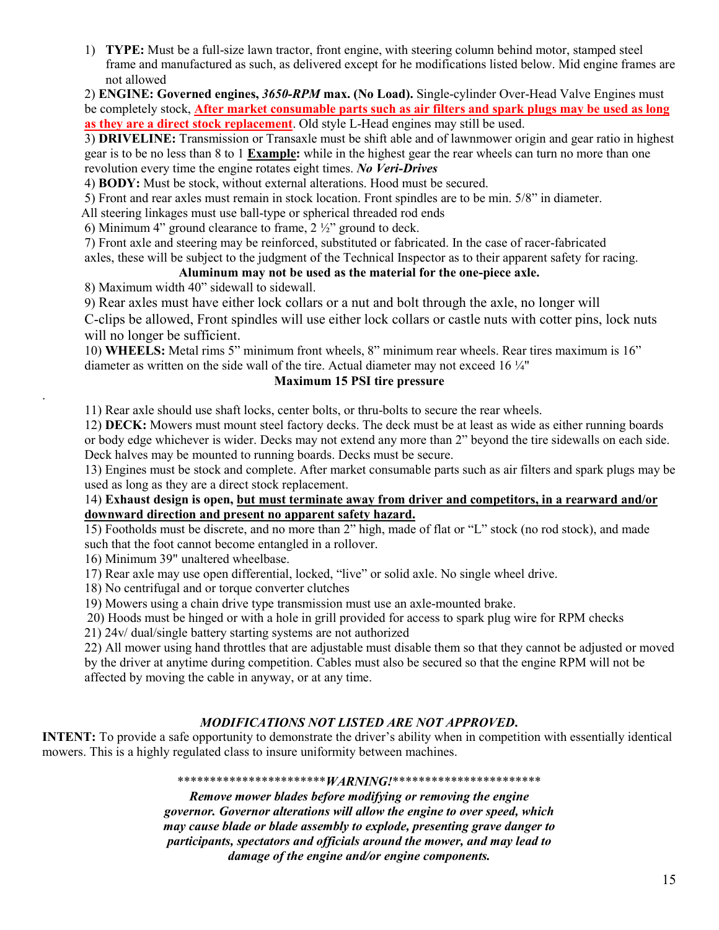1) **TYPE:** Must be a full-size lawn tractor, front engine, with steering column behind motor, stamped steel frame and manufactured as such, as delivered except for he modifications listed below. Mid engine frames are not allowed

2) **ENGINE: Governed engines,** *3650-RPM* **max. (No Load).** Single-cylinder Over-Head Valve Engines must be completely stock, **After market consumable parts such as air filters and spark plugs may be used as long as they are a direct stock replacement**. Old style L-Head engines may still be used.

3) **DRIVELINE:** Transmission or Transaxle must be shift able and of lawnmower origin and gear ratio in highest gear is to be no less than 8 to 1 **Example:** while in the highest gear the rear wheels can turn no more than one revolution every time the engine rotates eight times. *No Veri-Drives*

4) **BODY:** Must be stock, without external alterations. Hood must be secured.

5) Front and rear axles must remain in stock location. Front spindles are to be min. 5/8" in diameter.

All steering linkages must use ball-type or spherical threaded rod ends

6) Minimum 4" ground clearance to frame,  $2\frac{1}{2}$ " ground to deck.

7) Front axle and steering may be reinforced, substituted or fabricated. In the case of racer-fabricated

axles, these will be subject to the judgment of the Technical Inspector as to their apparent safety for racing.

### **Aluminum may not be used as the material for the one-piece axle.**

8) Maximum width 40" sidewall to sidewall.

9) Rear axles must have either lock collars or a nut and bolt through the axle, no longer will

 C-clips be allowed, Front spindles will use either lock collars or castle nuts with cotter pins, lock nuts will no longer be sufficient.

10) **WHEELS:** Metal rims 5" minimum front wheels, 8" minimum rear wheels. Rear tires maximum is 16" diameter as written on the side wall of the tire. Actual diameter may not exceed 16 ¼"

#### **Maximum 15 PSI tire pressure**

11) Rear axle should use shaft locks, center bolts, or thru-bolts to secure the rear wheels.

12) **DECK:** Mowers must mount steel factory decks. The deck must be at least as wide as either running boards or body edge whichever is wider. Decks may not extend any more than 2" beyond the tire sidewalls on each side. Deck halves may be mounted to running boards. Decks must be secure.

13) Engines must be stock and complete. After market consumable parts such as air filters and spark plugs may be used as long as they are a direct stock replacement.

#### 14) **Exhaust design is open, but must terminate away from driver and competitors, in a rearward and/or downward direction and present no apparent safety hazard.**

15) Footholds must be discrete, and no more than 2" high, made of flat or "L" stock (no rod stock), and made such that the foot cannot become entangled in a rollover.

16) Minimum 39" unaltered wheelbase.

.

17) Rear axle may use open differential, locked, "live" or solid axle. No single wheel drive.

18) No centrifugal and or torque converter clutches

19) Mowers using a chain drive type transmission must use an axle-mounted brake.

20) Hoods must be hinged or with a hole in grill provided for access to spark plug wire for RPM checks

21) 24v/ dual/single battery starting systems are not authorized

22) All mower using hand throttles that are adjustable must disable them so that they cannot be adjusted or moved by the driver at anytime during competition. Cables must also be secured so that the engine RPM will not be affected by moving the cable in anyway, or at any time.

#### *MODIFICATIONS NOT LISTED ARE NOT APPROVED***.**

**INTENT:** To provide a safe opportunity to demonstrate the driver's ability when in competition with essentially identical mowers. This is a highly regulated class to insure uniformity between machines.

#### \*\*\*\*\*\*\*\*\*\*\*\*\*\*\*\*\*\*\*\*\*\*\**WARNING!*\*\*\*\*\*\*\*\*\*\*\*\*\*\*\*\*\*\*\*\*\*\*\*

*Remove mower blades before modifying or removing the engine governor. Governor alterations will allow the engine to over speed, which may cause blade or blade assembly to explode, presenting grave danger to participants, spectators and officials around the mower, and may lead to damage of the engine and/or engine components.*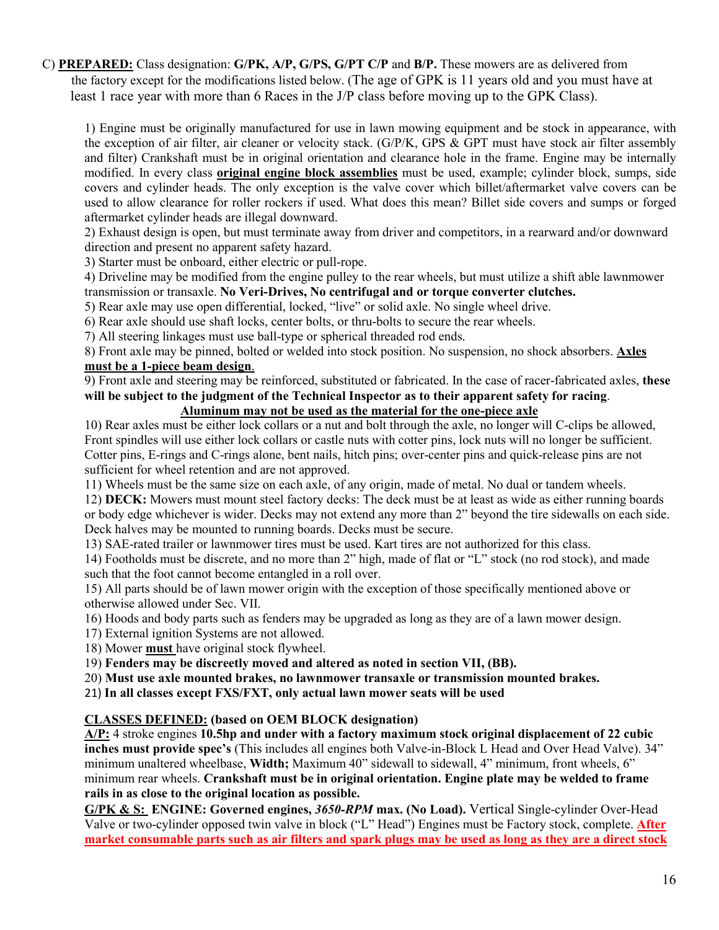C) **PREPARED:** Class designation: **G/PK, A/P, G/PS, G/PT C/P** and **B/P.** These mowers are as delivered from the factory except for the modifications listed below. (The age of GPK is 11 years old and you must have at least 1 race year with more than 6 Races in the J/P class before moving up to the GPK Class).

1) Engine must be originally manufactured for use in lawn mowing equipment and be stock in appearance, with the exception of air filter, air cleaner or velocity stack. (G/P/K, GPS & GPT must have stock air filter assembly and filter) Crankshaft must be in original orientation and clearance hole in the frame. Engine may be internally modified. In every class **original engine block assemblies** must be used, example; cylinder block, sumps, side covers and cylinder heads. The only exception is the valve cover which billet/aftermarket valve covers can be used to allow clearance for roller rockers if used. What does this mean? Billet side covers and sumps or forged aftermarket cylinder heads are illegal downward.

2) Exhaust design is open, but must terminate away from driver and competitors, in a rearward and/or downward direction and present no apparent safety hazard.

3) Starter must be onboard, either electric or pull-rope.

4) Driveline may be modified from the engine pulley to the rear wheels, but must utilize a shift able lawnmower transmission or transaxle. **No Veri-Drives, No centrifugal and or torque converter clutches.**

5) Rear axle may use open differential, locked, "live" or solid axle. No single wheel drive.

6) Rear axle should use shaft locks, center bolts, or thru-bolts to secure the rear wheels.

7) All steering linkages must use ball-type or spherical threaded rod ends.

8) Front axle may be pinned, bolted or welded into stock position. No suspension, no shock absorbers. **Axles must be a 1-piece beam design**.

9) Front axle and steering may be reinforced, substituted or fabricated. In the case of racer-fabricated axles, **these will be subject to the judgment of the Technical Inspector as to their apparent safety for racing**.

## **Aluminum may not be used as the material for the one-piece axle**

10) Rear axles must be either lock collars or a nut and bolt through the axle, no longer will C-clips be allowed, Front spindles will use either lock collars or castle nuts with cotter pins, lock nuts will no longer be sufficient. Cotter pins, E-rings and C-rings alone, bent nails, hitch pins; over-center pins and quick-release pins are not sufficient for wheel retention and are not approved.

11) Wheels must be the same size on each axle, of any origin, made of metal. No dual or tandem wheels.

12) **DECK:** Mowers must mount steel factory decks: The deck must be at least as wide as either running boards or body edge whichever is wider. Decks may not extend any more than 2" beyond the tire sidewalls on each side. Deck halves may be mounted to running boards. Decks must be secure.

13) SAE-rated trailer or lawnmower tires must be used. Kart tires are not authorized for this class.

14) Footholds must be discrete, and no more than 2" high, made of flat or "L" stock (no rod stock), and made such that the foot cannot become entangled in a roll over.

15) All parts should be of lawn mower origin with the exception of those specifically mentioned above or otherwise allowed under Sec. VII.

16) Hoods and body parts such as fenders may be upgraded as long as they are of a lawn mower design.

17) External ignition Systems are not allowed.

18) Mower **must** have original stock flywheel.

19) **Fenders may be discreetly moved and altered as noted in section VII, (BB).** 

20) **Must use axle mounted brakes, no lawnmower transaxle or transmission mounted brakes.** 

21) **In all classes except FXS/FXT, only actual lawn mower seats will be used** 

#### **CLASSES DEFINED: (based on OEM BLOCK designation)**

**A/P:** 4 stroke engines **10.5hp and under with a factory maximum stock original displacement of 22 cubic inches must provide spec's** (This includes all engines both Valve-in-Block L Head and Over Head Valve). 34" minimum unaltered wheelbase, **Width;** Maximum 40" sidewall to sidewall, 4" minimum, front wheels, 6" minimum rear wheels. **Crankshaft must be in original orientation. Engine plate may be welded to frame rails in as close to the original location as possible.**

**G/PK & S: ENGINE: Governed engines,** *3650-RPM* **max. (No Load).** Vertical Single-cylinder Over-Head Valve or two-cylinder opposed twin valve in block ("L" Head") Engines must be Factory stock, complete. **After market consumable parts such as air filters and spark plugs may be used as long as they are a direct stock**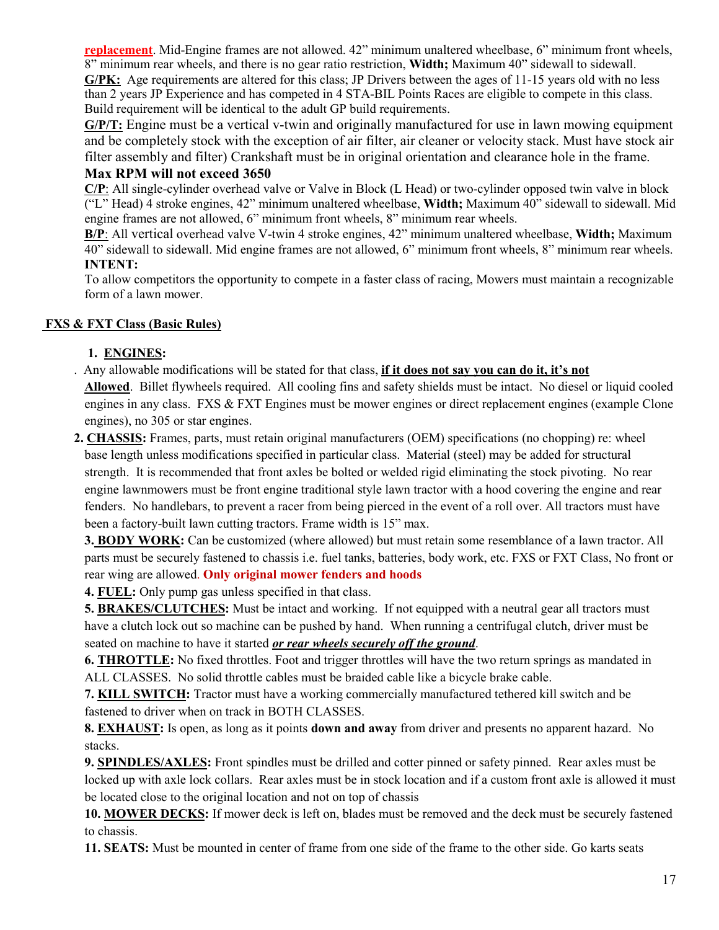**replacement**. Mid-Engine frames are not allowed. 42" minimum unaltered wheelbase, 6" minimum front wheels, 8" minimum rear wheels, and there is no gear ratio restriction, **Width;** Maximum 40" sidewall to sidewall. **G/PK:** Age requirements are altered for this class; JP Drivers between the ages of 11-15 years old with no less than 2 years JP Experience and has competed in 4 STA-BIL Points Races are eligible to compete in this class. Build requirement will be identical to the adult GP build requirements.

**G/P/T:** Engine must be a vertical v-twin and originally manufactured for use in lawn mowing equipment and be completely stock with the exception of air filter, air cleaner or velocity stack. Must have stock air filter assembly and filter) Crankshaft must be in original orientation and clearance hole in the frame.

### **Max RPM will not exceed 3650**

**C/P**: All single-cylinder overhead valve or Valve in Block (L Head) or two-cylinder opposed twin valve in block ("L" Head) 4 stroke engines, 42" minimum unaltered wheelbase, **Width;** Maximum 40" sidewall to sidewall. Mid engine frames are not allowed, 6" minimum front wheels, 8" minimum rear wheels.

**B/P**: All vertical overhead valve V-twin 4 stroke engines, 42" minimum unaltered wheelbase, **Width;** Maximum 40" sidewall to sidewall. Mid engine frames are not allowed, 6" minimum front wheels, 8" minimum rear wheels.  **INTENT:** 

 To allow competitors the opportunity to compete in a faster class of racing, Mowers must maintain a recognizable form of a lawn mower.

### **FXS & FXT Class (Basic Rules)**

### **1. ENGINES:**

- . Any allowable modifications will be stated for that class, **if it does not say you can do it, it's not Allowed**. Billet flywheels required. All cooling fins and safety shields must be intact. No diesel or liquid cooled engines in any class. FXS & FXT Engines must be mower engines or direct replacement engines (example Clone engines), no 305 or star engines.
- **2. CHASSIS:** Frames, parts, must retain original manufacturers (OEM) specifications (no chopping) re: wheel base length unless modifications specified in particular class. Material (steel) may be added for structural strength. It is recommended that front axles be bolted or welded rigid eliminating the stock pivoting. No rear engine lawnmowers must be front engine traditional style lawn tractor with a hood covering the engine and rear fenders. No handlebars, to prevent a racer from being pierced in the event of a roll over. All tractors must have been a factory-built lawn cutting tractors. Frame width is 15" max.

 **3. BODY WORK:** Can be customized (where allowed) but must retain some resemblance of a lawn tractor. All parts must be securely fastened to chassis i.e. fuel tanks, batteries, body work, etc. FXS or FXT Class, No front or rear wing are allowed. **Only original mower fenders and hoods**

**4. FUEL:** Only pump gas unless specified in that class.

**5. BRAKES/CLUTCHES:** Must be intact and working. If not equipped with a neutral gear all tractors must have a clutch lock out so machine can be pushed by hand. When running a centrifugal clutch, driver must be seated on machine to have it started *or rear wheels securely off the ground*.

**6. THROTTLE:** No fixed throttles. Foot and trigger throttles will have the two return springs as mandated in ALL CLASSES. No solid throttle cables must be braided cable like a bicycle brake cable.

**7. KILL SWITCH:** Tractor must have a working commercially manufactured tethered kill switch and be fastened to driver when on track in BOTH CLASSES.

**8. EXHAUST:** Is open, as long as it points **down and away** from driver and presents no apparent hazard. No stacks.

**9. SPINDLES/AXLES:** Front spindles must be drilled and cotter pinned or safety pinned. Rear axles must be locked up with axle lock collars. Rear axles must be in stock location and if a custom front axle is allowed it must be located close to the original location and not on top of chassis

**10. MOWER DECKS:** If mower deck is left on, blades must be removed and the deck must be securely fastened to chassis.

**11. SEATS:** Must be mounted in center of frame from one side of the frame to the other side. Go karts seats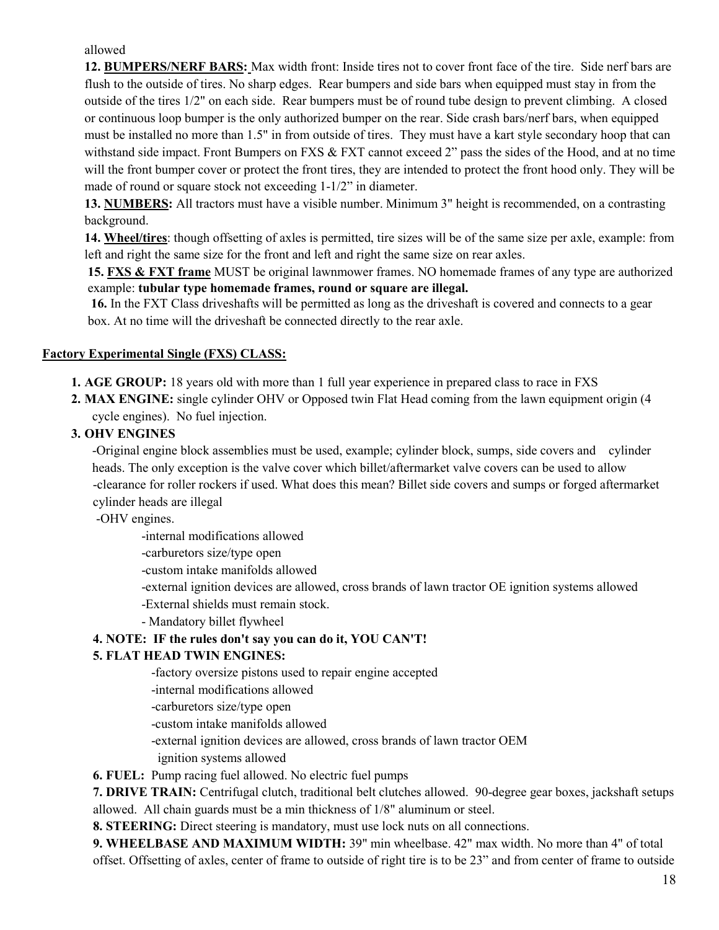allowed

**12. BUMPERS/NERF BARS:** Max width front: Inside tires not to cover front face of the tire. Side nerf bars are flush to the outside of tires. No sharp edges. Rear bumpers and side bars when equipped must stay in from the outside of the tires 1/2" on each side. Rear bumpers must be of round tube design to prevent climbing. A closed or continuous loop bumper is the only authorized bumper on the rear. Side crash bars/nerf bars, when equipped must be installed no more than 1.5" in from outside of tires. They must have a kart style secondary hoop that can withstand side impact. Front Bumpers on FXS & FXT cannot exceed 2" pass the sides of the Hood, and at no time will the front bumper cover or protect the front tires, they are intended to protect the front hood only. They will be made of round or square stock not exceeding 1-1/2" in diameter.

**13. NUMBERS:** All tractors must have a visible number. Minimum 3" height is recommended, on a contrasting background.

**14. Wheel/tires**: though offsetting of axles is permitted, tire sizes will be of the same size per axle, example: from left and right the same size for the front and left and right the same size on rear axles.

 **15. FXS & FXT frame** MUST be original lawnmower frames. NO homemade frames of any type are authorized example: **tubular type homemade frames, round or square are illegal.**

 **16.** In the FXT Class driveshafts will be permitted as long as the driveshaft is covered and connects to a gear box. At no time will the driveshaft be connected directly to the rear axle.

#### **Factory Experimental Single (FXS) CLASS:**

- **1. AGE GROUP:** 18 years old with more than 1 full year experience in prepared class to race in FXS
- **2. MAX ENGINE:** single cylinder OHV or Opposed twin Flat Head coming from the lawn equipment origin (4 cycle engines). No fuel injection.
- **3. OHV ENGINES**

-Original engine block assemblies must be used, example; cylinder block, sumps, side covers and cylinder heads. The only exception is the valve cover which billet/aftermarket valve covers can be used to allow -clearance for roller rockers if used. What does this mean? Billet side covers and sumps or forged aftermarket cylinder heads are illegal

-OHV engines.

-internal modifications allowed

-carburetors size/type open

-custom intake manifolds allowed

-external ignition devices are allowed, cross brands of lawn tractor OE ignition systems allowed

-External shields must remain stock.

- Mandatory billet flywheel

#### **4. NOTE: IF the rules don't say you can do it, YOU CAN'T!**

#### **5. FLAT HEAD TWIN ENGINES:**

-factory oversize pistons used to repair engine accepted

-internal modifications allowed

-carburetors size/type open

-custom intake manifolds allowed

-external ignition devices are allowed, cross brands of lawn tractor OEM

ignition systems allowed

**6. FUEL:** Pump racing fuel allowed. No electric fuel pumps

**7. DRIVE TRAIN:** Centrifugal clutch, traditional belt clutches allowed. 90-degree gear boxes, jackshaft setups allowed. All chain guards must be a min thickness of 1/8" aluminum or steel.

**8. STEERING:** Direct steering is mandatory, must use lock nuts on all connections.

**9. WHEELBASE AND MAXIMUM WIDTH:** 39" min wheelbase. 42" max width. No more than 4" of total offset. Offsetting of axles, center of frame to outside of right tire is to be 23" and from center of frame to outside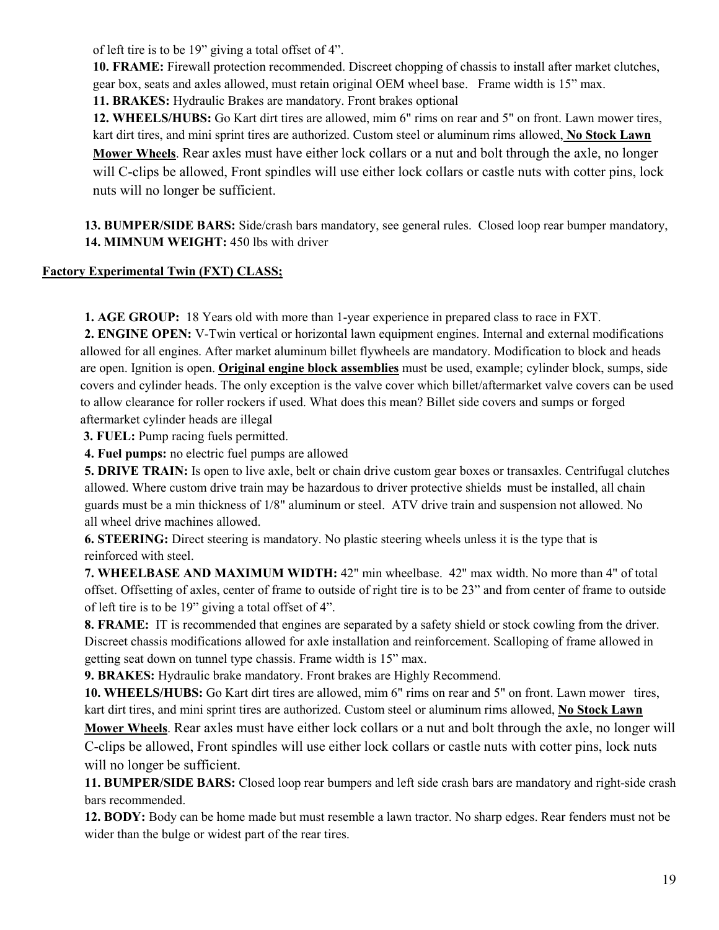of left tire is to be 19" giving a total offset of 4".

**10. FRAME:** Firewall protection recommended. Discreet chopping of chassis to install after market clutches, gear box, seats and axles allowed, must retain original OEM wheel base.Frame width is 15" max.

**11. BRAKES:** Hydraulic Brakes are mandatory. Front brakes optional

**12. WHEELS/HUBS:** Go Kart dirt tires are allowed, mim 6" rims on rear and 5" on front. Lawn mower tires, kart dirt tires, and mini sprint tires are authorized. Custom steel or aluminum rims allowed, **No Stock Lawn Mower Wheels**. Rear axles must have either lock collars or a nut and bolt through the axle, no longer will C-clips be allowed, Front spindles will use either lock collars or castle nuts with cotter pins, lock nuts will no longer be sufficient.

**13. BUMPER/SIDE BARS:** Side/crash bars mandatory, see general rules. Closed loop rear bumper mandatory, **14. MIMNUM WEIGHT:** 450 lbs with driver

### **Factory Experimental Twin (FXT) CLASS;**

 **1. AGE GROUP:** 18 Years old with more than 1-year experience in prepared class to race in FXT.

 **2. ENGINE OPEN:** V-Twin vertical or horizontal lawn equipment engines. Internal and external modifications allowed for all engines. After market aluminum billet flywheels are mandatory. Modification to block and heads are open. Ignition is open. **Original engine block assemblies** must be used, example; cylinder block, sumps, side covers and cylinder heads. The only exception is the valve cover which billet/aftermarket valve covers can be used to allow clearance for roller rockers if used. What does this mean? Billet side covers and sumps or forged aftermarket cylinder heads are illegal

 **3. FUEL:** Pump racing fuels permitted.

 **4. Fuel pumps:** no electric fuel pumps are allowed

 **5. DRIVE TRAIN:** Is open to live axle, belt or chain drive custom gear boxes or transaxles. Centrifugal clutches allowed. Where custom drive train may be hazardous to driver protective shields must be installed, all chain guards must be a min thickness of 1/8" aluminum or steel. ATV drive train and suspension not allowed. No all wheel drive machines allowed.

 **6. STEERING:** Direct steering is mandatory. No plastic steering wheels unless it is the type that is reinforced with steel.

 **7. WHEELBASE AND MAXIMUM WIDTH:** 42" min wheelbase. 42" max width. No more than 4" of total offset. Offsetting of axles, center of frame to outside of right tire is to be 23" and from center of frame to outside of left tire is to be 19" giving a total offset of 4".

 **8. FRAME:** IT is recommended that engines are separated by a safety shield or stock cowling from the driver. Discreet chassis modifications allowed for axle installation and reinforcement. Scalloping of frame allowed in getting seat down on tunnel type chassis. Frame width is 15" max.

 **9. BRAKES:** Hydraulic brake mandatory. Front brakes are Highly Recommend.

 **10. WHEELS/HUBS:** Go Kart dirt tires are allowed, mim 6" rims on rear and 5" on front. Lawn mower tires, kart dirt tires, and mini sprint tires are authorized. Custom steel or aluminum rims allowed, **No Stock Lawn** 

 **Mower Wheels**. Rear axles must have either lock collars or a nut and bolt through the axle, no longer will C-clips be allowed, Front spindles will use either lock collars or castle nuts with cotter pins, lock nuts will no longer be sufficient.

 **11. BUMPER/SIDE BARS:** Closed loop rear bumpers and left side crash bars are mandatory and right-side crash bars recommended.

 **12. BODY:** Body can be home made but must resemble a lawn tractor. No sharp edges. Rear fenders must not be wider than the bulge or widest part of the rear tires.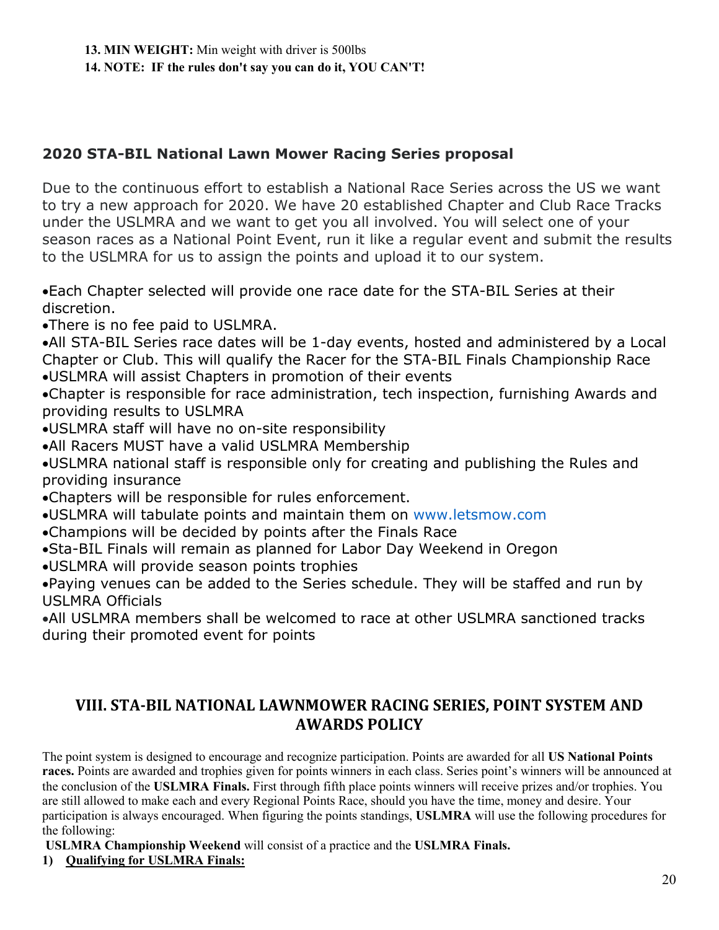# **2020 STA-BIL National Lawn Mower Racing Series proposal**

Due to the continuous effort to establish a National Race Series across the US we want to try a new approach for 2020. We have 20 established Chapter and Club Race Tracks under the USLMRA and we want to get you all involved. You will select one of your season races as a National Point Event, run it like a regular event and submit the results to the USLMRA for us to assign the points and upload it to our system.

Each Chapter selected will provide one race date for the STA-BIL Series at their discretion.

There is no fee paid to USLMRA.

All STA-BIL Series race dates will be 1-day events, hosted and administered by a Local Chapter or Club. This will qualify the Racer for the STA-BIL Finals Championship Race USLMRA will assist Chapters in promotion of their events

Chapter is responsible for race administration, tech inspection, furnishing Awards and providing results to USLMRA

USLMRA staff will have no on-site responsibility

All Racers MUST have a valid USLMRA Membership

USLMRA national staff is responsible only for creating and publishing the Rules and providing insurance

Chapters will be responsible for rules enforcement.

USLMRA will tabulate points and maintain them on www.letsmow.com

Champions will be decided by points after the Finals Race

Sta-BIL Finals will remain as planned for Labor Day Weekend in Oregon

USLMRA will provide season points trophies

Paying venues can be added to the Series schedule. They will be staffed and run by USLMRA Officials

All USLMRA members shall be welcomed to race at other USLMRA sanctioned tracks during their promoted event for points

# **VIII. STA-BIL NATIONAL LAWNMOWER RACING SERIES, POINT SYSTEM AND AWARDS POLICY**

The point system is designed to encourage and recognize participation. Points are awarded for all **US National Points races.** Points are awarded and trophies given for points winners in each class. Series point's winners will be announced at the conclusion of the **USLMRA Finals.** First through fifth place points winners will receive prizes and/or trophies. You are still allowed to make each and every Regional Points Race, should you have the time, money and desire. Your participation is always encouraged. When figuring the points standings, **USLMRA** will use the following procedures for the following:

**USLMRA Championship Weekend** will consist of a practice and the **USLMRA Finals.**

**1) Qualifying for USLMRA Finals:**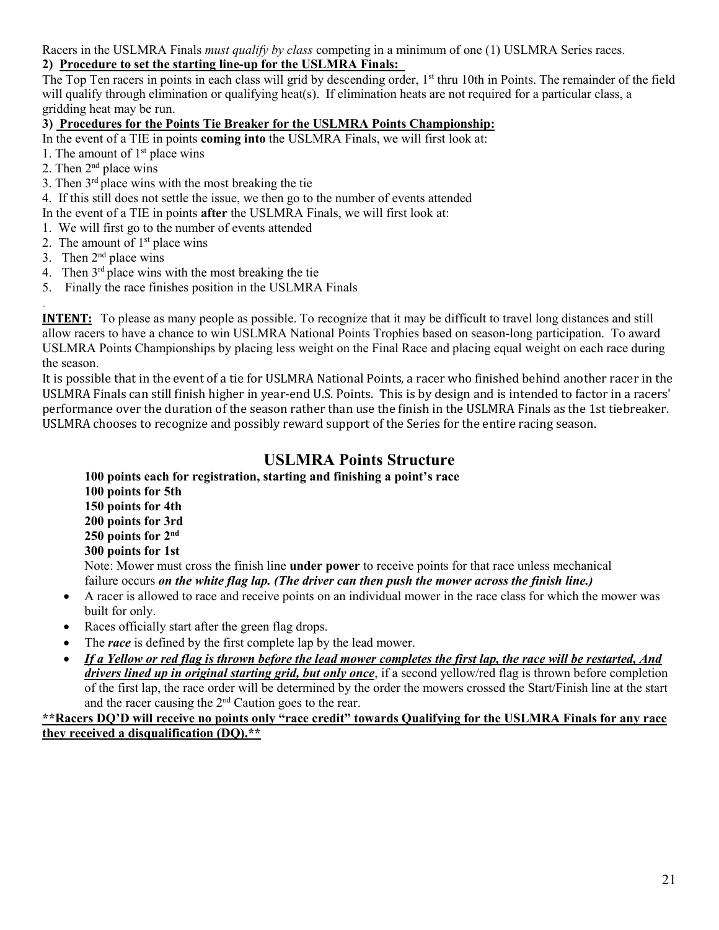Racers in the USLMRA Finals *must qualify by class* competing in a minimum of one (1) USLMRA Series races.

### **2) Procedure to set the starting line-up for the USLMRA Finals:**

The Top Ten racers in points in each class will grid by descending order, 1<sup>st</sup> thru 10th in Points. The remainder of the field will qualify through elimination or qualifying heat(s). If elimination heats are not required for a particular class, a gridding heat may be run.

### **3) Procedures for the Points Tie Breaker for the USLMRA Points Championship:**

In the event of a TIE in points **coming into** the USLMRA Finals, we will first look at:

- 1. The amount of  $1<sup>st</sup>$  place wins
- 2. Then  $2<sup>nd</sup>$  place wins
- 3. Then  $3<sup>rd</sup>$  place wins with the most breaking the tie
- 4. If this still does not settle the issue, we then go to the number of events attended
- In the event of a TIE in points **after** the USLMRA Finals, we will first look at:
- 1. We will first go to the number of events attended
- 2. The amount of  $1<sup>st</sup>$  place wins
- 3. Then  $2<sup>nd</sup>$  place wins
- 4. Then  $3<sup>rd</sup>$  place wins with the most breaking the tie
- 5. Finally the race finishes position in the USLMRA Finals

. **INTENT:** To please as many people as possible. To recognize that it may be difficult to travel long distances and still allow racers to have a chance to win USLMRA National Points Trophies based on season-long participation. To award USLMRA Points Championships by placing less weight on the Final Race and placing equal weight on each race during the season.

It is possible that in the event of a tie for USLMRA National Points, a racer who finished behind another racer in the USLMRA Finals can still finish higher in year-end U.S. Points. This is by design and is intended to factor in a racers' performance over the duration of the season rather than use the finish in the USLMRA Finals as the 1st tiebreaker. USLMRA chooses to recognize and possibly reward support of the Series for the entire racing season.

# **USLMRA Points Structure**

**100 points each for registration, starting and finishing a point's race 100 points for 5th 150 points for 4th 200 points for 3rd 250 points for 2nd 300 points for 1st**  Note: Mower must cross the finish line **under power** to receive points for that race unless mechanical failure occurs *on the white flag lap. (The driver can then push the mower across the finish line.)*  A racer is allowed to race and receive points on an individual mower in the race class for which the mower was built for only.

- Races officially start after the green flag drops.
- The *race* is defined by the first complete lap by the lead mower.
- *If a Yellow or red flag is thrown before the lead mower completes the first lap, the race will be restarted, And drivers lined up in original starting grid, but only once*, if a second yellow/red flag is thrown before completion of the first lap, the race order will be determined by the order the mowers crossed the Start/Finish line at the start and the racer causing the 2nd Caution goes to the rear.

#### **\*\*Racers DQ'D will receive no points only "race credit" towards Qualifying for the USLMRA Finals for any race they received a disqualification (DQ).\*\***